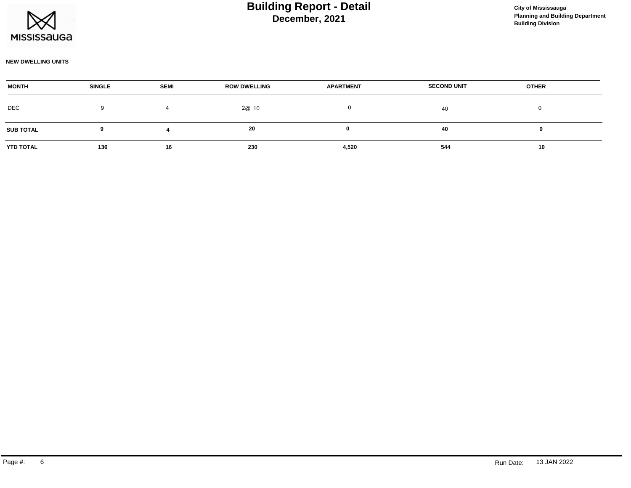

#### **NEW DWELLING UNITS**

| <b>MONTH</b>     | <b>SINGLE</b> | <b>SEMI</b> | <b>ROW DWELLING</b> | <b>APARTMENT</b> | <b>SECOND UNIT</b> | <b>OTHER</b> |  |
|------------------|---------------|-------------|---------------------|------------------|--------------------|--------------|--|
| DEC              |               |             | 2@ 10               |                  | 40                 |              |  |
| <b>SUB TOTAL</b> |               |             | 20                  |                  | 40                 |              |  |
| <b>YTD TOTAL</b> | 136           | 16          | 230                 | 4,520            | 544                | 10           |  |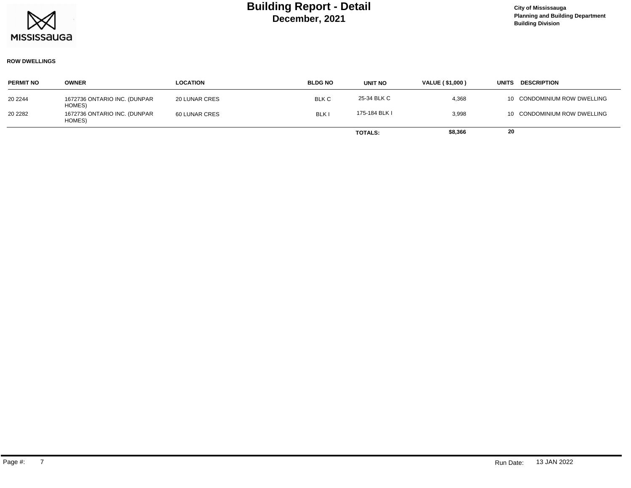

#### **ROW DWELLINGS**

| <b>PERMIT NO</b> | <b>OWNER</b>                           | <b>LOCATION</b>      | <b>BLDG NO</b> | UNIT NO        | <b>VALUE (\$1,000)</b> | <b>DESCRIPTION</b><br><b>UNITS</b> |
|------------------|----------------------------------------|----------------------|----------------|----------------|------------------------|------------------------------------|
| 20 2244          | 1672736 ONTARIO INC. (DUNPAR<br>HOMES) | <b>20 LUNAR CRES</b> | <b>BLK C</b>   | 25-34 BLK C    | 4,368                  | 10 CONDOMINIUM ROW DWELLING        |
| 20 2282          | 1672736 ONTARIO INC. (DUNPAR<br>HOMES) | <b>60 LUNAR CRES</b> | <b>BLKI</b>    | 175-184 BLK I  | 3,998                  | 10 CONDOMINIUM ROW DWELLING        |
|                  |                                        |                      |                | <b>TOTALS:</b> | \$8,366                | 20                                 |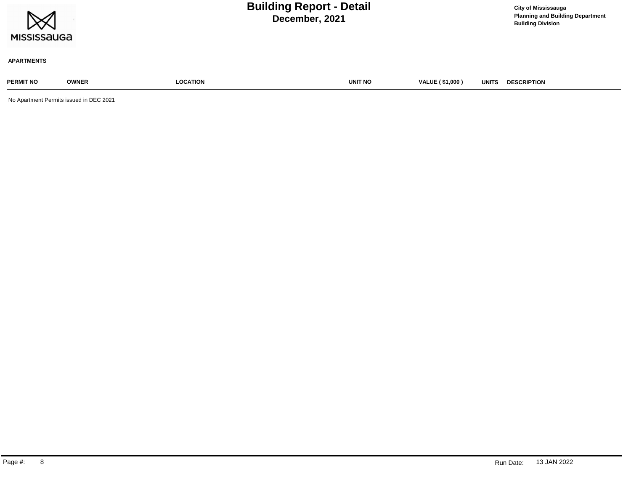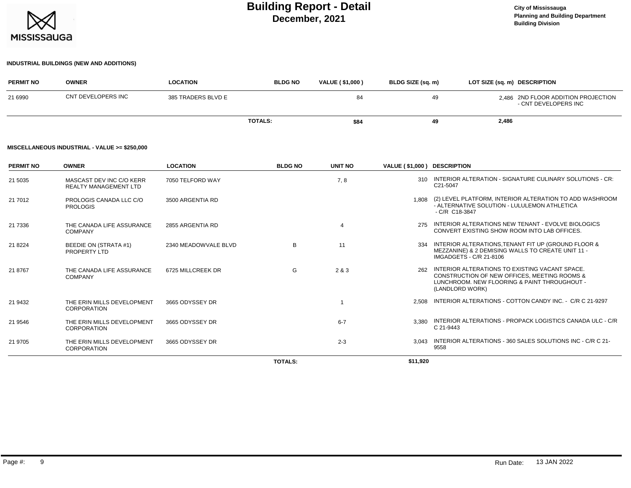

## **INDUSTRIAL BUILDINGS (NEW AND ADDITIONS)**

| <b>PERMIT NO</b>                              | <b>OWNER</b>       | <b>LOCATION</b>    | <b>BLDG NO</b> | <b>VALUE (\$1,000)</b> | BLDG SIZE (sq. m) | LOT SIZE (sq. m) DESCRIPTION                                |  |  |  |
|-----------------------------------------------|--------------------|--------------------|----------------|------------------------|-------------------|-------------------------------------------------------------|--|--|--|
| 21 6990                                       | CNT DEVELOPERS INC | 385 TRADERS BLVD E |                | 84                     | 49                | 2.486 2ND FLOOR ADDITION PROJECTION<br>- CNT DEVELOPERS INC |  |  |  |
|                                               |                    |                    | <b>TOTALS:</b> | \$84                   | 49                | 2,486                                                       |  |  |  |
| MISCELLANEOUS INDUSTRIAL - VALUE >= \$250.000 |                    |                    |                |                        |                   |                                                             |  |  |  |

#### **MISCELLANEOUS INDUSTRIAL - VALUE >= \$250,000**

| <b>PERMIT NO</b> | <b>OWNER</b>                                             | <b>LOCATION</b>      | <b>BLDG NO</b> | UNIT NO        | VALUE (\$1,000) DESCRIPTION |                                                                                                                                                                   |
|------------------|----------------------------------------------------------|----------------------|----------------|----------------|-----------------------------|-------------------------------------------------------------------------------------------------------------------------------------------------------------------|
| 21 5035          | MASCAST DEV INC C/O KERR<br><b>REALTY MANAGEMENT LTD</b> | 7050 TELFORD WAY     |                | 7, 8           |                             | 310 INTERIOR ALTERATION - SIGNATURE CULINARY SOLUTIONS - CR:<br>C21-5047                                                                                          |
| 21 7012          | PROLOGIS CANADA LLC C/O<br><b>PROLOGIS</b>               | 3500 ARGENTIA RD     |                |                | 1.808                       | (2) LEVEL PLATFORM, INTERIOR ALTERATION TO ADD WASHROOM<br>- ALTERNATIVE SOLUTION - LULULEMON ATHLETICA<br>- C/R C18-3847                                         |
| 21 7336          | THE CANADA LIFE ASSURANCE<br><b>COMPANY</b>              | 2855 ARGENTIA RD     |                | $\overline{4}$ | 275                         | INTERIOR ALTERATIONS NEW TENANT - EVOLVE BIOLOGICS<br>CONVERT EXISTING SHOW ROOM INTO LAB OFFICES.                                                                |
| 21 8224          | <b>BEEDIE ON (STRATA #1)</b><br>PROPERTY LTD             | 2340 MEADOWVALE BLVD | B              | 11             | 334                         | INTERIOR ALTERATIONS, TENANT FIT UP (GROUND FLOOR &<br>MEZZANINE) & 2 DEMISING WALLS TO CREATE UNIT 11 -<br>IMGADGETS - C/R 21-8106                               |
| 21 8767          | THE CANADA LIFE ASSURANCE<br><b>COMPANY</b>              | 6725 MILLCREEK DR    | G              | 2 & 3          | 262                         | INTERIOR ALTERATIONS TO EXISTING VACANT SPACE.<br>CONSTRUCTION OF NEW OFFICES. MEETING ROOMS &<br>LUNCHROOM. NEW FLOORING & PAINT THROUGHOUT -<br>(LANDLORD WORK) |
| 21 9432          | THE ERIN MILLS DEVELOPMENT<br><b>CORPORATION</b>         | 3665 ODYSSEY DR      |                |                | 2.508                       | INTERIOR ALTERATIONS - COTTON CANDY INC. - C/R C 21-9297                                                                                                          |
| 21 9546          | THE ERIN MILLS DEVELOPMENT<br><b>CORPORATION</b>         | 3665 ODYSSEY DR      |                | $6 - 7$        | 3.380                       | INTERIOR ALTERATIONS - PROPACK LOGISTICS CANADA ULC - C/R<br>C 21-9443                                                                                            |
| 21 9705          | THE ERIN MILLS DEVELOPMENT<br>CORPORATION                | 3665 ODYSSEY DR      |                | $2 - 3$        | 3.043                       | INTERIOR ALTERATIONS - 360 SALES SOLUTIONS INC - C/R C 21-<br>9558                                                                                                |
|                  |                                                          |                      | <b>TOTALS:</b> |                | \$11.920                    |                                                                                                                                                                   |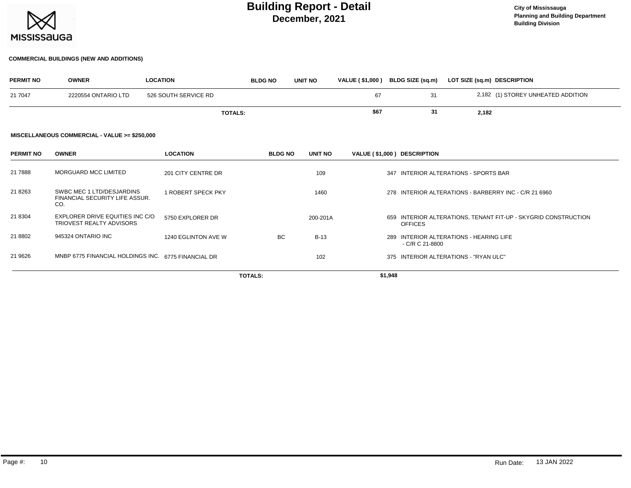

#### **COMMERCIAL BUILDINGS (NEW AND ADDITIONS)**

| <b>PERMIT NO</b> | <b>OWNER</b>                                                       | <b>LOCATION</b>      | <b>BLDG NO</b> | <b>UNIT NO</b> | VALUE (\$1,000) BLDG SIZE (sq.m) |                |                  | LOT SIZE (sq.m) DESCRIPTION                                    |
|------------------|--------------------------------------------------------------------|----------------------|----------------|----------------|----------------------------------|----------------|------------------|----------------------------------------------------------------|
| 21 7047          | 2220554 ONTARIO LTD                                                | 526 SOUTH SERVICE RD |                |                | 67                               |                | 31               | 2,182 (1) STOREY UNHEATED ADDITION                             |
|                  |                                                                    | <b>TOTALS:</b>       |                |                | \$67                             |                | 31               | 2,182                                                          |
|                  | MISCELLANEOUS COMMERCIAL - VALUE >= \$250,000                      |                      |                |                |                                  |                |                  |                                                                |
| <b>PERMIT NO</b> | <b>OWNER</b>                                                       | <b>LOCATION</b>      | <b>BLDG NO</b> | UNIT NO        | VALUE (\$1,000) DESCRIPTION      |                |                  |                                                                |
| 21 7888          | <b>MORGUARD MCC LIMITED</b>                                        | 201 CITY CENTRE DR   |                | 109            |                                  |                |                  | 347 INTERIOR ALTERATIONS - SPORTS BAR                          |
| 21 8263          | SWBC MEC 1 LTD/DESJARDINS<br>FINANCIAL SECURITY LIFE ASSUR.<br>CO. | 1 ROBERT SPECK PKY   |                | 1460           |                                  |                |                  | 278 INTERIOR ALTERATIONS - BARBERRY INC - C/R 21 6960          |
| 21 8304          | EXPLORER DRIVE EQUITIES INC C/O<br><b>TRIOVEST REALTY ADVISORS</b> | 5750 EXPLORER DR     |                | 200-201A       |                                  | <b>OFFICES</b> |                  | 659 INTERIOR ALTERATIONS, TENANT FIT-UP - SKYGRID CONSTRUCTION |
| 21 8802          | 945324 ONTARIO INC                                                 | 1240 EGLINTON AVE W  | <b>BC</b>      | $B-13$         |                                  |                | $-C/R C 21-8800$ | 289 INTERIOR ALTERATIONS - HEARING LIFE                        |
| 21 9626          | MNBP 6775 FINANCIAL HOLDINGS INC. 6775 FINANCIAL DR                |                      |                | 102            |                                  |                |                  | 375 INTERIOR ALTERATIONS - "RYAN ULC"                          |
|                  |                                                                    |                      | TOTALS:        |                |                                  | \$1,948        |                  |                                                                |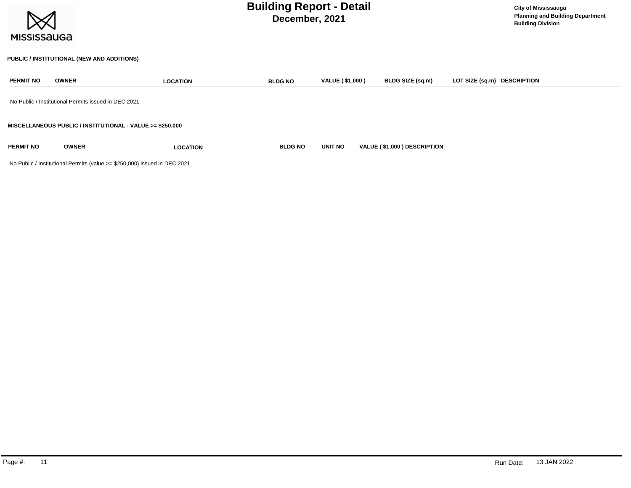| <b>MISSISSAUGA</b> |              | <b>Building Report - Detail</b>                           | <b>City of Mississauga</b><br><b>Planning and Building Department</b><br><b>Building Division</b> |                        |                             |                             |
|--------------------|--------------|-----------------------------------------------------------|---------------------------------------------------------------------------------------------------|------------------------|-----------------------------|-----------------------------|
|                    |              | PUBLIC / INSTITUTIONAL (NEW AND ADDITIONS)                |                                                                                                   |                        |                             |                             |
| <b>PERMIT NO</b>   | <b>OWNER</b> | <b>LOCATION</b>                                           | <b>BLDG NO</b>                                                                                    | <b>VALUE (\$1,000)</b> | BLDG SIZE (sq.m)            | LOT SIZE (sq.m) DESCRIPTION |
|                    |              | No Public / Institutional Permits issued in DEC 2021      |                                                                                                   |                        |                             |                             |
|                    |              | MISCELLANEOUS PUBLIC / INSTITUTIONAL - VALUE >= \$250,000 |                                                                                                   |                        |                             |                             |
| <b>PERMIT NO</b>   | <b>OWNER</b> | <b>LOCATION</b>                                           | <b>BLDG NO</b>                                                                                    | <b>UNIT NO</b>         | VALUE (\$1,000) DESCRIPTION |                             |

No Public / Institutional Permits (value >= \$250,000) issued in DEC 2021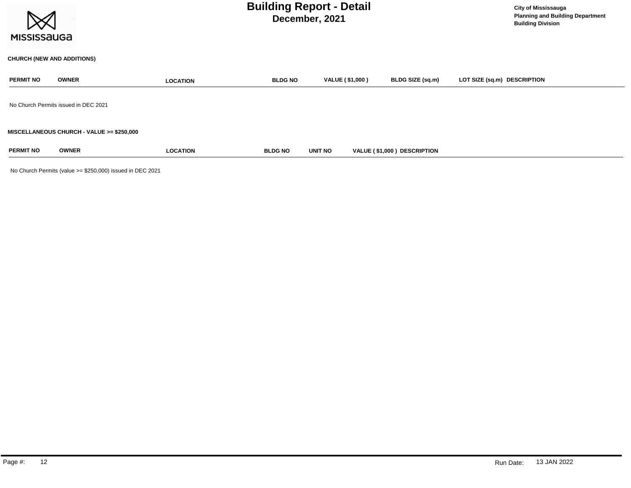| <b>MISSISSAUGA</b> |                                           |                 | <b>Building Report - Detail</b><br>December, 2021 |                        | <b>City of Mississauga</b><br><b>Planning and Building Department</b><br><b>Building Division</b> |                             |
|--------------------|-------------------------------------------|-----------------|---------------------------------------------------|------------------------|---------------------------------------------------------------------------------------------------|-----------------------------|
|                    | <b>CHURCH (NEW AND ADDITIONS)</b>         |                 |                                                   |                        |                                                                                                   |                             |
| <b>PERMIT NO</b>   | <b>OWNER</b>                              | <b>LOCATION</b> | <b>BLDG NO</b>                                    | <b>VALUE (\$1,000)</b> | BLDG SIZE (sq.m)                                                                                  | LOT SIZE (sq.m) DESCRIPTION |
|                    | No Church Permits issued in DEC 2021      |                 |                                                   |                        |                                                                                                   |                             |
|                    | MISCELLANEOUS CHURCH - VALUE >= \$250,000 |                 |                                                   |                        |                                                                                                   |                             |
| <b>PERMIT NO</b>   | <b>OWNER</b>                              | <b>LOCATION</b> | <b>BLDG NO</b>                                    | UNIT NO                | VALUE (\$1,000) DESCRIPTION                                                                       |                             |

No Church Permits (value >= \$250,000) issued in DEC 2021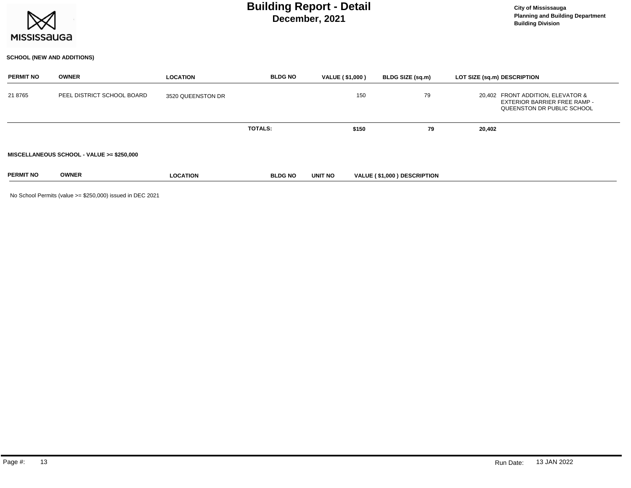

## **SCHOOL (NEW AND ADDITIONS)**

| <b>PERMIT NO</b> | <b>OWNER</b>                              | <b>LOCATION</b>   | <b>BLDG NO</b> | <b>VALUE (\$1,000)</b> | BLDG SIZE (sq.m)            |    | LOT SIZE (sq.m) DESCRIPTION                                                                            |
|------------------|-------------------------------------------|-------------------|----------------|------------------------|-----------------------------|----|--------------------------------------------------------------------------------------------------------|
| 218765           | PEEL DISTRICT SCHOOL BOARD                | 3520 QUEENSTON DR |                |                        | 150                         | 79 | 20,402 FRONT ADDITION, ELEVATOR &<br><b>EXTERIOR BARRIER FREE RAMP -</b><br>QUEENSTON DR PUBLIC SCHOOL |
|                  |                                           |                   | <b>TOTALS:</b> |                        | \$150                       | 79 | 20,402                                                                                                 |
|                  | MISCELLANEOUS SCHOOL - VALUE >= \$250,000 |                   |                |                        |                             |    |                                                                                                        |
| <b>PERMIT NO</b> | <b>OWNER</b>                              | <b>LOCATION</b>   | <b>BLDG NO</b> | UNIT NO                | VALUE (\$1,000) DESCRIPTION |    |                                                                                                        |

No School Permits (value >= \$250,000) issued in DEC 2021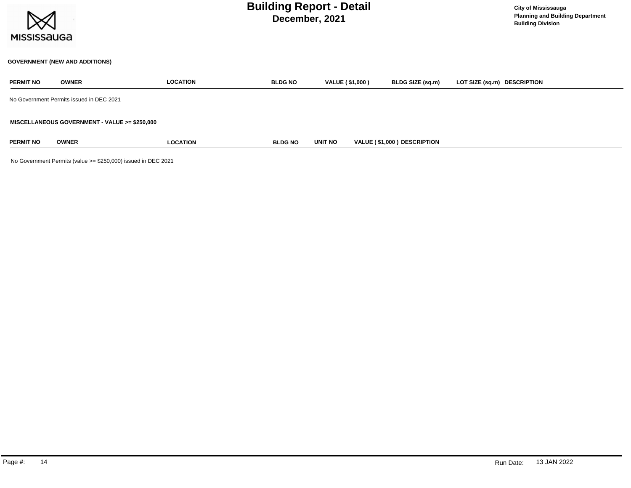

## **GOVERNMENT (NEW AND ADDITIONS)**

| <b>PERMIT NO</b> | <b>OWNER</b>                                  | <b>LOCATION</b> | <b>BLDG NO</b> | VALUE (\$1,000) | BLDG SIZE (sq.m)                   | LOT SIZE (sq.m) DESCRIPTION |
|------------------|-----------------------------------------------|-----------------|----------------|-----------------|------------------------------------|-----------------------------|
|                  | No Government Permits issued in DEC 2021      |                 |                |                 |                                    |                             |
|                  | MISCELLANEOUS GOVERNMENT - VALUE >= \$250,000 |                 |                |                 |                                    |                             |
| <b>PERMIT NO</b> | <b>OWNER</b>                                  | <b>LOCATION</b> | <b>BLDG NO</b> | <b>UNIT NO</b>  | <b>VALUE (\$1,000) DESCRIPTION</b> |                             |

No Government Permits (value >= \$250,000) issued in DEC 2021